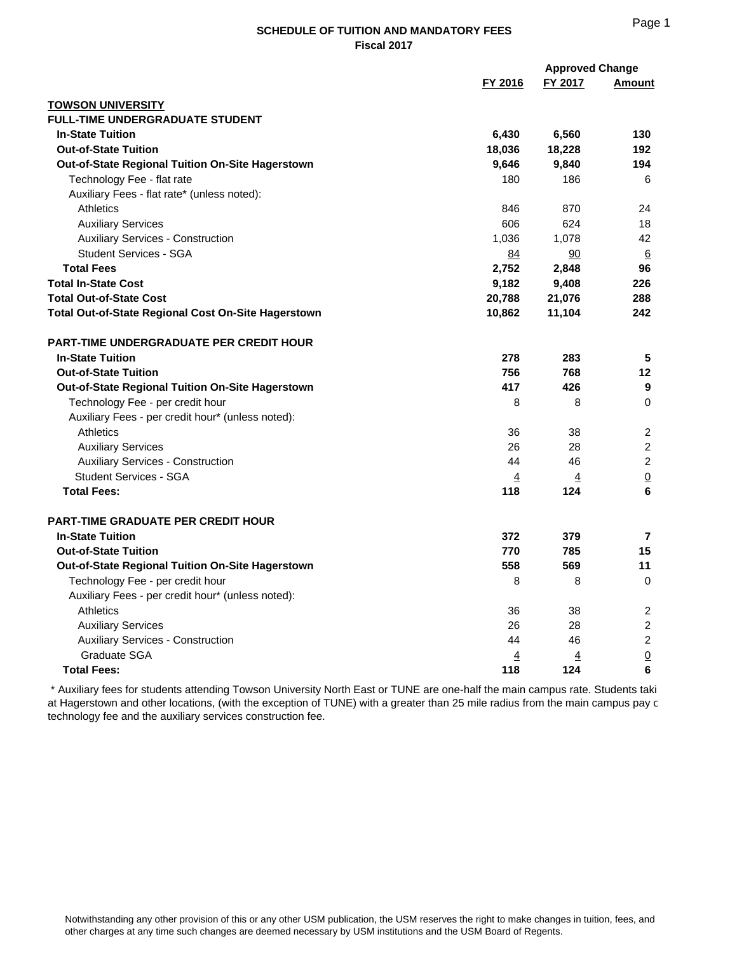## **SCHEDULE OF TUITION AND MANDATORY FEES Fiscal 2017**

|                                                     | <b>Approved Change</b> |                |                  |
|-----------------------------------------------------|------------------------|----------------|------------------|
|                                                     | FY 2016                | FY 2017        | Amount           |
| <b>TOWSON UNIVERSITY</b>                            |                        |                |                  |
| <b>FULL-TIME UNDERGRADUATE STUDENT</b>              |                        |                |                  |
| <b>In-State Tuition</b>                             | 6,430                  | 6,560          | 130              |
| <b>Out-of-State Tuition</b>                         | 18,036                 | 18,228         | 192              |
| Out-of-State Regional Tuition On-Site Hagerstown    | 9,646                  | 9,840          | 194              |
| Technology Fee - flat rate                          | 180                    | 186            | 6                |
| Auxiliary Fees - flat rate* (unless noted):         |                        |                |                  |
| <b>Athletics</b>                                    | 846                    | 870            | 24               |
| <b>Auxiliary Services</b>                           | 606                    | 624            | 18               |
| <b>Auxiliary Services - Construction</b>            | 1,036                  | 1,078          | 42               |
| <b>Student Services - SGA</b>                       | 84                     | 90             | $6 \overline{6}$ |
| <b>Total Fees</b>                                   | 2,752                  | 2,848          | 96               |
| <b>Total In-State Cost</b>                          | 9,182                  | 9,408          | 226              |
| <b>Total Out-of-State Cost</b>                      | 20,788                 | 21,076         | 288              |
| Total Out-of-State Regional Cost On-Site Hagerstown | 10,862                 | 11,104         | 242              |
| <b>PART-TIME UNDERGRADUATE PER CREDIT HOUR</b>      |                        |                |                  |
| <b>In-State Tuition</b>                             | 278                    | 283            | 5                |
| <b>Out-of-State Tuition</b>                         | 756                    | 768            | 12               |
| Out-of-State Regional Tuition On-Site Hagerstown    | 417                    | 426            | 9                |
| Technology Fee - per credit hour                    | 8                      | 8              | $\Omega$         |
| Auxiliary Fees - per credit hour* (unless noted):   |                        |                |                  |
| <b>Athletics</b>                                    | 36                     | 38             | 2                |
| <b>Auxiliary Services</b>                           | 26                     | 28             | 2                |
| <b>Auxiliary Services - Construction</b>            | 44                     | 46             | $\overline{2}$   |
| <b>Student Services - SGA</b>                       | $\overline{4}$         | $\overline{4}$ | $\underline{0}$  |
| <b>Total Fees:</b>                                  | 118                    | 124            | 6                |
| <b>PART-TIME GRADUATE PER CREDIT HOUR</b>           |                        |                |                  |
| <b>In-State Tuition</b>                             | 372                    | 379            | 7                |
| <b>Out-of-State Tuition</b>                         | 770                    | 785            | 15               |
| Out-of-State Regional Tuition On-Site Hagerstown    | 558                    | 569            | 11               |
| Technology Fee - per credit hour                    | 8                      | 8              | $\Omega$         |
| Auxiliary Fees - per credit hour* (unless noted):   |                        |                |                  |
| <b>Athletics</b>                                    | 36                     | 38             | 2                |
| <b>Auxiliary Services</b>                           | 26                     | 28             | 2                |
| <b>Auxiliary Services - Construction</b>            | 44                     | 46             | $\overline{c}$   |
| Graduate SGA                                        | $\overline{4}$         | <u>4</u>       | $\underline{0}$  |
| <b>Total Fees:</b>                                  | 118                    | 124            | 6                |

 \* Auxiliary fees for students attending Towson University North East or TUNE are one-half the main campus rate. Students taki at Hagerstown and other locations, (with the exception of TUNE) with a greater than 25 mile radius from the main campus pay c technology fee and the auxiliary services construction fee.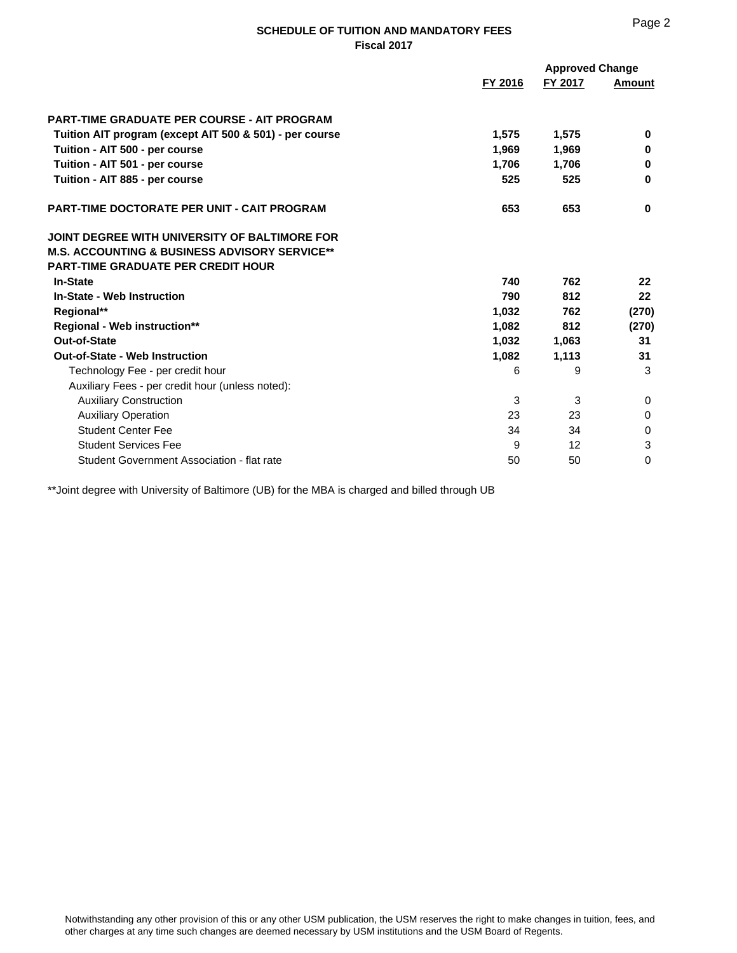## **SCHEDULE OF TUITION AND MANDATORY FEES Fiscal 2017**

|                                                          | FY 2016 | <b>Approved Change</b><br>FY 2017 | Amount   |
|----------------------------------------------------------|---------|-----------------------------------|----------|
|                                                          |         |                                   |          |
| <b>PART-TIME GRADUATE PER COURSE - AIT PROGRAM</b>       |         |                                   |          |
| Tuition AIT program (except AIT 500 & 501) - per course  | 1,575   | 1,575                             | $\bf{0}$ |
| Tuition - AIT 500 - per course                           | 1,969   | 1,969                             | 0        |
| Tuition - AIT 501 - per course                           | 1,706   | 1,706                             | $\bf{0}$ |
| Tuition - AIT 885 - per course                           | 525     | 525                               | 0        |
| <b>PART-TIME DOCTORATE PER UNIT - CAIT PROGRAM</b>       | 653     | 653                               | $\bf{0}$ |
| JOINT DEGREE WITH UNIVERSITY OF BALTIMORE FOR            |         |                                   |          |
| <b>M.S. ACCOUNTING &amp; BUSINESS ADVISORY SERVICE**</b> |         |                                   |          |
| <b>PART-TIME GRADUATE PER CREDIT HOUR</b>                |         |                                   |          |
| <b>In-State</b>                                          | 740     | 762                               | 22       |
| <b>In-State - Web Instruction</b>                        | 790     | 812                               | 22       |
| Regional**                                               | 1.032   | 762                               | (270)    |
| <b>Regional - Web instruction**</b>                      | 1,082   | 812                               | (270)    |
| Out-of-State                                             | 1,032   | 1,063                             | 31       |
| <b>Out-of-State - Web Instruction</b>                    | 1,082   | 1,113                             | 31       |
| Technology Fee - per credit hour                         | 6       | 9                                 | 3        |
| Auxiliary Fees - per credit hour (unless noted):         |         |                                   |          |
| <b>Auxiliary Construction</b>                            | 3       | 3                                 | 0        |
| <b>Auxiliary Operation</b>                               | 23      | 23                                | $\Omega$ |
| <b>Student Center Fee</b>                                | 34      | 34                                | 0        |
| <b>Student Services Fee</b>                              | 9       | 12 <sup>2</sup>                   | 3        |
| Student Government Association - flat rate               | 50      | 50                                | $\Omega$ |

\*\*Joint degree with University of Baltimore (UB) for the MBA is charged and billed through UB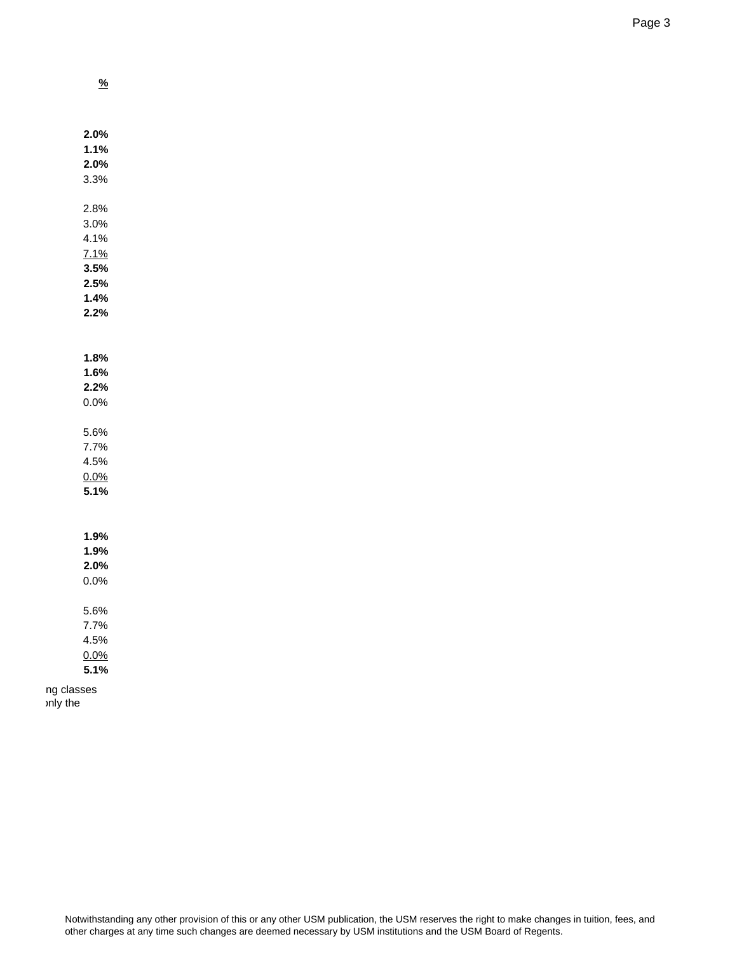**%**

|            | 2.0% |  |
|------------|------|--|
|            | 1.1% |  |
|            | 2.0% |  |
|            | 3.3% |  |
|            |      |  |
|            | 2.8% |  |
|            | 3.0% |  |
|            | 4.1% |  |
|            | 7.1% |  |
|            | 3.5% |  |
|            | 2.5% |  |
|            | 1.4% |  |
|            | 2.2% |  |
|            |      |  |
|            |      |  |
|            | 1.8% |  |
|            | 1.6% |  |
|            | 2.2% |  |
|            | 0.0% |  |
|            | 5.6% |  |
|            | 7.7% |  |
|            | 4.5% |  |
|            | 0.0% |  |
|            | 5.1% |  |
|            |      |  |
|            |      |  |
|            | 1.9% |  |
|            | 1.9% |  |
|            | 2.0% |  |
|            | 0.0% |  |
|            |      |  |
|            | 5.6% |  |
|            | 7.7% |  |
|            | 4.5% |  |
|            | 0.0% |  |
|            | 5.1% |  |
| ng classes |      |  |
| only the   |      |  |